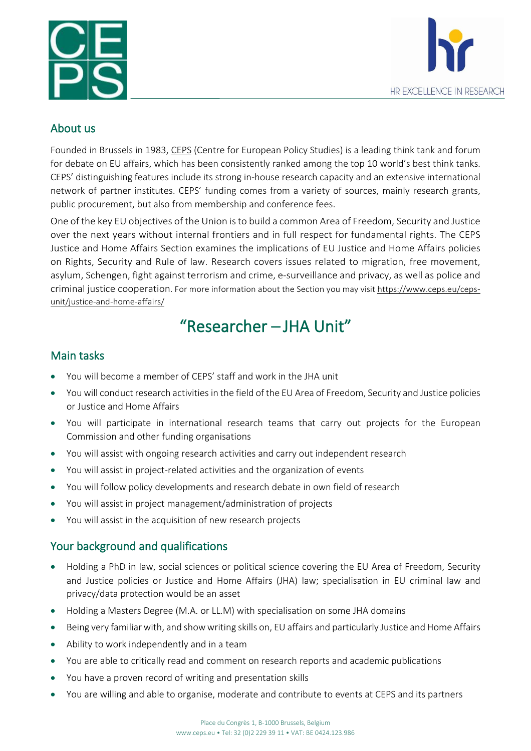



## About us

Founded in Brussels in 1983, [CEPS](http://www.ceps.eu/) (Centre for European Policy Studies) is a leading think tank and forum for debate on EU affairs, which has been consistently ranked among the top 10 world's best think tanks. CEPS' distinguishing features include its strong in-house research capacity and an extensive international network of partner institutes. CEPS' funding comes from a variety of sources, mainly research grants, public procurement, but also from membership and conference fees.

One of the key EU objectives of the Union isto build a common Area of Freedom, Security and Justice over the next years without internal frontiers and in full respect for fundamental rights. The CEPS Justice and Home Affairs Section examines the implications of EU Justice and Home Affairs policies on Rights, Security and Rule of law. Research covers issues related to migration, free movement, asylum, Schengen, fight against terrorism and crime, e-surveillance and privacy, as well as police and criminal justice cooperation. For more information about the Section you may visit [https://www.ceps.eu/ceps](https://www.ceps.eu/ceps-unit/justice-and-home-affairs/)[unit/justice-and-home-affairs/](https://www.ceps.eu/ceps-unit/justice-and-home-affairs/)

# "Researcher – JHA Unit"

# Main tasks

- You will become a member of CEPS' staff and work in the JHA unit
- You will conduct research activitiesin the field of the EU Area of Freedom, Security and Justice policies or Justice and Home Affairs
- You will participate in international research teams that carry out projects for the European Commission and other funding organisations
- You will assist with ongoing research activities and carry out independent research
- You will assist in project-related activities and the organization of events
- You will follow policy developments and research debate in own field of research
- You will assist in project management/administration of projects
- You will assist in the acquisition of new research projects

### Your background and qualifications

- Holding a PhD in law, social sciences or political science covering the EU Area of Freedom, Security and Justice policies or Justice and Home Affairs (JHA) law; specialisation in EU criminal law and privacy/data protection would be an asset
- Holding a Masters Degree (M.A. or LL.M) with specialisation on some JHA domains
- Being very familiar with, and show writing skills on, EU affairs and particularly Justice and Home Affairs
- Ability to work independently and in a team
- You are able to critically read and comment on research reports and academic publications
- You have a proven record of writing and presentation skills
- You are willing and able to organise, moderate and contribute to events at CEPS and its partners